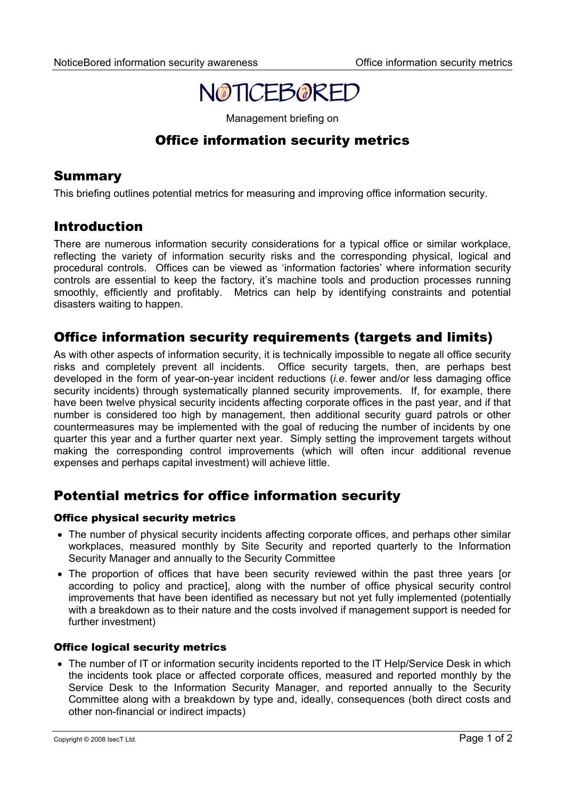

Management briefing on

# Office information security metrics

## Summary

This briefing outlines potential metrics for measuring and improving office information security.

## Introduction

There are numerous information security considerations for a typical office or similar workplace, reflecting the variety of information security risks and the corresponding physical, logical and procedural controls. Offices can be viewed as 'information factories' where information security controls are essential to keep the factory, it's machine tools and production processes running smoothly, efficiently and profitably. Metrics can help by identifying constraints and potential disasters waiting to happen.

# Office information security requirements (targets and limits)

As with other aspects of information security, it is technically impossible to negate all office security risks and completely prevent all incidents. Office security targets, then, are perhaps best developed in the form of year-on-year incident reductions (*i.e*. fewer and/or less damaging office security incidents) through systematically planned security improvements. If, for example, there have been twelve physical security incidents affecting corporate offices in the past year, and if that number is considered too high by management, then additional security guard patrols or other countermeasures may be implemented with the goal of reducing the number of incidents by one quarter this year and a further quarter next year. Simply setting the improvement targets without making the corresponding control improvements (which will often incur additional revenue expenses and perhaps capital investment) will achieve little.

# Potential metrics for office information security

### Office physical security metrics

- The number of physical security incidents affecting corporate offices, and perhaps other similar workplaces, measured monthly by Site Security and reported quarterly to the Information Security Manager and annually to the Security Committee
- The proportion of offices that have been security reviewed within the past three years [or according to policy and practice], along with the number of office physical security control improvements that have been identified as necessary but not yet fully implemented (potentially with a breakdown as to their nature and the costs involved if management support is needed for further investment)

### Office logical security metrics

• The number of IT or information security incidents reported to the IT Help/Service Desk in which the incidents took place or affected corporate offices, measured and reported monthly by the Service Desk to the Information Security Manager, and reported annually to the Security Committee along with a breakdown by type and, ideally, consequences (both direct costs and other non-financial or indirect impacts)